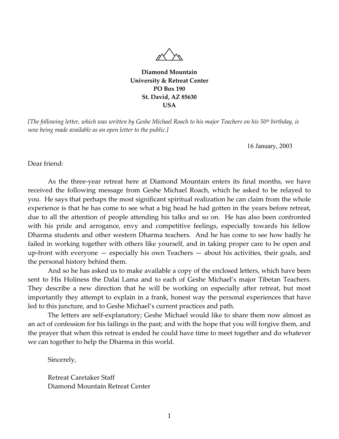

**Diamond Mountain University & Retreat Center PO Box 190 St. David, AZ 85630 USA**

*[The following letter, which was written by Geshe Michael Roach to his major Teachers on his 50th birthday, is now being made available as an open letter to the public.]* 

16 January, 2003

Dear friend:

 As the three-year retreat here at Diamond Mountain enters its final months, we have received the following message from Geshe Michael Roach, which he asked to be relayed to you. He says that perhaps the most significant spiritual realization he can claim from the whole experience is that he has come to see what a big head he had gotten in the years before retreat, due to all the attention of people attending his talks and so on. He has also been confronted with his pride and arrogance, envy and competitive feelings, especially towards his fellow Dharma students and other western Dharma teachers. And he has come to see how badly he failed in working together with others like yourself, and in taking proper care to be open and up-front with everyone — especially his own Teachers — about his activities, their goals, and the personal history behind them.

 And so he has asked us to make available a copy of the enclosed letters, which have been sent to His Holiness the Dalai Lama and to each of Geshe Michael's major Tibetan Teachers. They describe a new direction that he will be working on especially after retreat, but most importantly they attempt to explain in a frank, honest way the personal experiences that have led to this juncture, and to Geshe Michael's current practices and path.

 The letters are self-explanatory; Geshe Michael would like to share them now almost as an act of confession for his failings in the past; and with the hope that you will forgive them, and the prayer that when this retreat is ended he could have time to meet together and do whatever we can together to help the Dharma in this world.

Sincerely,

 Retreat Caretaker Staff Diamond Mountain Retreat Center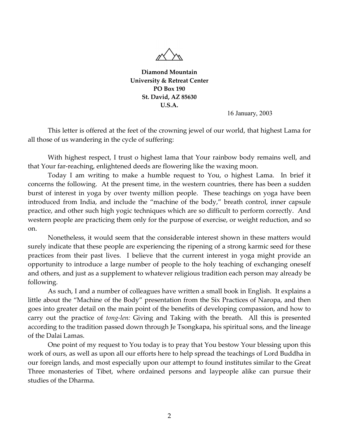

**Diamond Mountain University & Retreat Center PO Box 190 St. David, AZ 85630 U.S.A.** 

16 January, 2003

 This letter is offered at the feet of the crowning jewel of our world, that highest Lama for all those of us wandering in the cycle of suffering:

 With highest respect, I trust o highest lama that Your rainbow body remains well, and that Your far-reaching, enlightened deeds are flowering like the waxing moon.

 Today I am writing to make a humble request to You, o highest Lama. In brief it concerns the following. At the present time, in the western countries, there has been a sudden burst of interest in yoga by over twenty million people. These teachings on yoga have been introduced from India, and include the "machine of the body," breath control, inner capsule practice, and other such high yogic techniques which are so difficult to perform correctly. And western people are practicing them only for the purpose of exercise, or weight reduction, and so on.

 Nonetheless, it would seem that the considerable interest shown in these matters would surely indicate that these people are experiencing the ripening of a strong karmic seed for these practices from their past lives. I believe that the current interest in yoga might provide an opportunity to introduce a large number of people to the holy teaching of exchanging oneself and others, and just as a supplement to whatever religious tradition each person may already be following.

 As such, I and a number of colleagues have written a small book in English. It explains a little about the "Machine of the Body" presentation from the Six Practices of Naropa, and then goes into greater detail on the main point of the benefits of developing compassion, and how to carry out the practice of *tong-len:* Giving and Taking with the breath. All this is presented according to the tradition passed down through Je Tsongkapa, his spiritual sons, and the lineage of the Dalai Lamas.

 One point of my request to You today is to pray that You bestow Your blessing upon this work of ours, as well as upon all our efforts here to help spread the teachings of Lord Buddha in our foreign lands, and most especially upon our attempt to found institutes similar to the Great Three monasteries of Tibet, where ordained persons and laypeople alike can pursue their studies of the Dharma.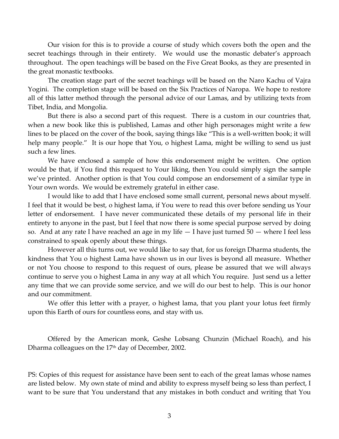Our vision for this is to provide a course of study which covers both the open and the secret teachings through in their entirety. We would use the monastic debater's approach throughout. The open teachings will be based on the Five Great Books, as they are presented in the great monastic textbooks.

 The creation stage part of the secret teachings will be based on the Naro Kachu of Vajra Yogini. The completion stage will be based on the Six Practices of Naropa. We hope to restore all of this latter method through the personal advice of our Lamas, and by utilizing texts from Tibet, India, and Mongolia.

 But there is also a second part of this request. There is a custom in our countries that, when a new book like this is published, Lamas and other high personages might write a few lines to be placed on the cover of the book, saying things like "This is a well-written book; it will help many people." It is our hope that You, o highest Lama, might be willing to send us just such a few lines.

 We have enclosed a sample of how this endorsement might be written. One option would be that, if You find this request to Your liking, then You could simply sign the sample we've printed. Another option is that You could compose an endorsement of a similar type in Your own words. We would be extremely grateful in either case.

 I would like to add that I have enclosed some small current, personal news about myself. I feel that it would be best, o highest lama, if You were to read this over before sending us Your letter of endorsement. I have never communicated these details of my personal life in their entirety to anyone in the past, but I feel that now there is some special purpose served by doing so. And at any rate I have reached an age in my life — I have just turned 50 — where I feel less constrained to speak openly about these things.

 However all this turns out, we would like to say that, for us foreign Dharma students, the kindness that You o highest Lama have shown us in our lives is beyond all measure. Whether or not You choose to respond to this request of ours, please be assured that we will always continue to serve you o highest Lama in any way at all which You require. Just send us a letter any time that we can provide some service, and we will do our best to help. This is our honor and our commitment.

 We offer this letter with a prayer, o highest lama, that you plant your lotus feet firmly upon this Earth of ours for countless eons, and stay with us.

 Offered by the American monk, Geshe Lobsang Chunzin (Michael Roach), and his Dharma colleagues on the  $17<sup>th</sup>$  day of December, 2002.

PS: Copies of this request for assistance have been sent to each of the great lamas whose names are listed below. My own state of mind and ability to express myself being so less than perfect, I want to be sure that You understand that any mistakes in both conduct and writing that You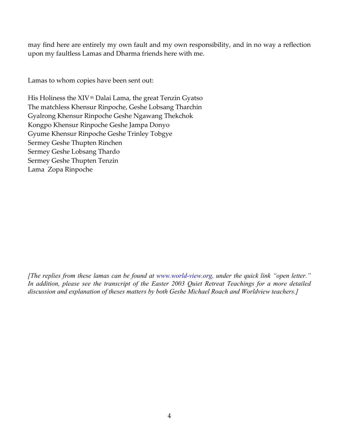may find here are entirely my own fault and my own responsibility, and in no way a reflection upon my faultless Lamas and Dharma friends here with me.

Lamas to whom copies have been sent out:

His Holiness the XIV th Dalai Lama, the great Tenzin Gyatso The matchless Khensur Rinpoche, Geshe Lobsang Tharchin Gyalrong Khensur Rinpoche Geshe Ngawang Thekchok Kongpo Khensur Rinpoche Geshe Jampa Donyo Gyume Khensur Rinpoche Geshe Trinley Tobgye Sermey Geshe Thupten Rinchen Sermey Geshe Lobsang Thardo Sermey Geshe Thupten Tenzin Lama Zopa Rinpoche

*[The replies from these lamas can be found at www.world-view.org, under the quick link "open letter." In addition, please see the transcript of the Easter 2003 Quiet Retreat Teachings for a more detailed discussion and explanation of theses matters by both Geshe Michael Roach and Worldview teachers.]*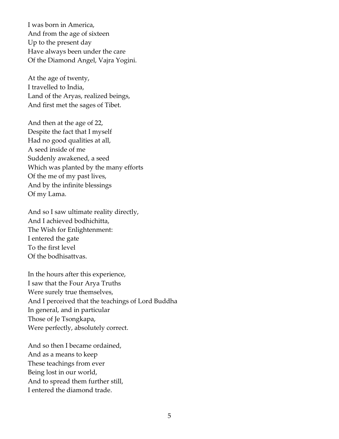I was born in America, And from the age of sixteen Up to the present day Have always been under the care Of the Diamond Angel, Vajra Yogini.

At the age of twenty, I travelled to India, Land of the Aryas, realized beings, And first met the sages of Tibet.

And then at the age of 22, Despite the fact that I myself Had no good qualities at all, A seed inside of me Suddenly awakened, a seed Which was planted by the many efforts Of the me of my past lives, And by the infinite blessings Of my Lama.

And so I saw ultimate reality directly, And I achieved bodhichitta, The Wish for Enlightenment: I entered the gate To the first level Of the bodhisattvas.

In the hours after this experience, I saw that the Four Arya Truths Were surely true themselves, And I perceived that the teachings of Lord Buddha In general, and in particular Those of Je Tsongkapa, Were perfectly, absolutely correct.

And so then I became ordained, And as a means to keep These teachings from ever Being lost in our world, And to spread them further still, I entered the diamond trade.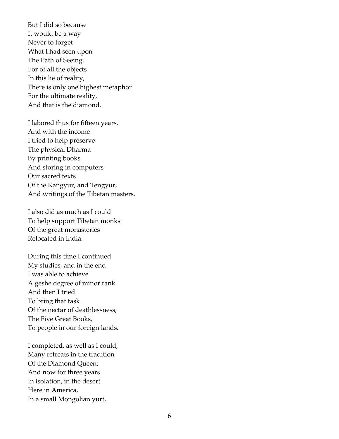But I did so because It would be a way Never to forget What I had seen upon The Path of Seeing. For of all the objects In this lie of reality, There is only one highest metaphor For the ultimate reality, And that is the diamond.

I labored thus for fifteen years, And with the income I tried to help preserve The physical Dharma By printing books And storing in computers Our sacred texts Of the Kangyur, and Tengyur, And writings of the Tibetan masters.

I also did as much as I could To help support Tibetan monks Of the great monasteries Relocated in India.

During this time I continued My studies, and in the end I was able to achieve A geshe degree of minor rank. And then I tried To bring that task Of the nectar of deathlessness, The Five Great Books, To people in our foreign lands.

I completed, as well as I could, Many retreats in the tradition Of the Diamond Queen; And now for three years In isolation, in the desert Here in America, In a small Mongolian yurt,